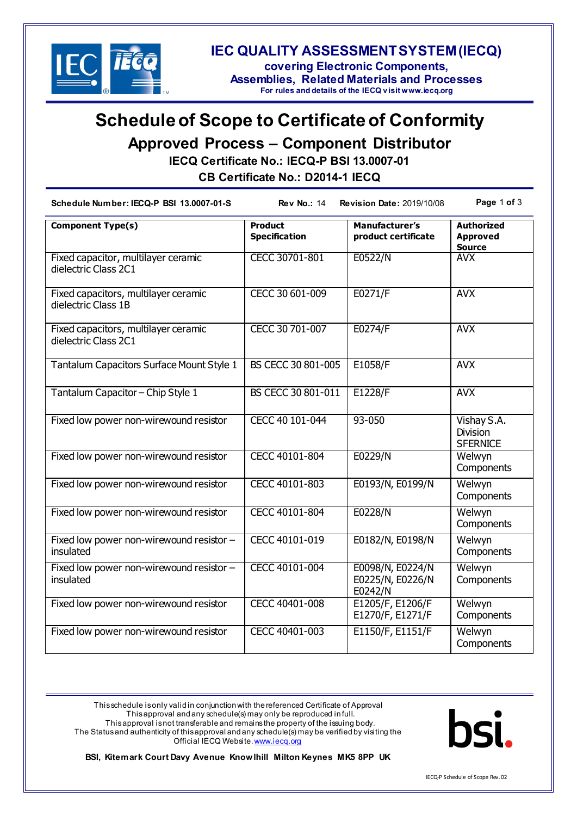

#### **IEC QUALITY ASSESSMENT SYSTEM (IECQ)**

**covering Electronic Components, Assemblies, Related Materials and Processes**

**For rules and details of the IECQ v isit www.iecq.org**

# **Schedule of Scope to Certificate of Conformity**

**Approved Process – Component Distributor**

**IECQ Certificate No.: IECQ-P BSI 13.0007-01**

**CB Certificate No.: D2014-1 IECQ**

**Schedule Number: IECQ-P BSI 13.0007-01-S Rev No.:** 14 **Revision Date:** 2019/10/08 **Page** 1 **of** 3

| <b>Component Type(s)</b>                                     | Product<br><b>Specification</b> | Manufacturer's<br>product certificate           | <b>Authorized</b><br><b>Approved</b><br><b>Source</b> |
|--------------------------------------------------------------|---------------------------------|-------------------------------------------------|-------------------------------------------------------|
| Fixed capacitor, multilayer ceramic<br>dielectric Class 2C1  | CECC 30701-801                  | E0522/N                                         | <b>AVX</b>                                            |
| Fixed capacitors, multilayer ceramic<br>dielectric Class 1B  | CECC 30 601-009                 | E0271/F                                         | <b>AVX</b>                                            |
| Fixed capacitors, multilayer ceramic<br>dielectric Class 2C1 | CECC 30 701-007                 | E0274/F                                         | <b>AVX</b>                                            |
| Tantalum Capacitors Surface Mount Style 1                    | BS CECC 30 801-005              | E1058/F                                         | <b>AVX</b>                                            |
| Tantalum Capacitor - Chip Style 1                            | BS CECC 30 801-011              | E1228/F                                         | <b>AVX</b>                                            |
| Fixed low power non-wirewound resistor                       | CECC 40 101-044                 | $93 - 050$                                      | Vishay S.A.<br><b>Division</b><br><b>SFERNICE</b>     |
| Fixed low power non-wirewound resistor                       | CECC 40101-804                  | E0229/N                                         | Welwyn<br>Components                                  |
| Fixed low power non-wirewound resistor                       | CECC 40101-803                  | E0193/N, E0199/N                                | Welwyn<br>Components                                  |
| Fixed low power non-wirewound resistor                       | CECC 40101-804                  | E0228/N                                         | Welwyn<br>Components                                  |
| Fixed low power non-wirewound resistor -<br>insulated        | CECC 40101-019                  | E0182/N, E0198/N                                | Welwyn<br>Components                                  |
| Fixed low power non-wirewound resistor -<br>insulated        | CECC 40101-004                  | E0098/N, E0224/N<br>E0225/N, E0226/N<br>E0242/N | Welwyn<br>Components                                  |
| Fixed low power non-wirewound resistor                       | CECC 40401-008                  | E1205/F, E1206/F<br>E1270/F, E1271/F            | Welwyn<br>Components                                  |
| Fixed low power non-wirewound resistor                       | CECC 40401-003                  | E1150/F, E1151/F                                | Welwyn<br>Components                                  |

This schedule is only valid in conjunction with the referenced Certificate of Approval This approval and any schedule(s) may only be reproduced in full. This approval is not transferable and remains the property of the issuing body. The Status and authenticity of this approval and any schedule(s) may be verified by visiting the Official IECQ Website[. www.iecq.org](http://www.iecq.org/)



**BSI, Kitemark Court Davy Avenue Knowlhill Milton Keynes MK5 8PP UK**

IECQ-P Schedule of Scope Rev. 02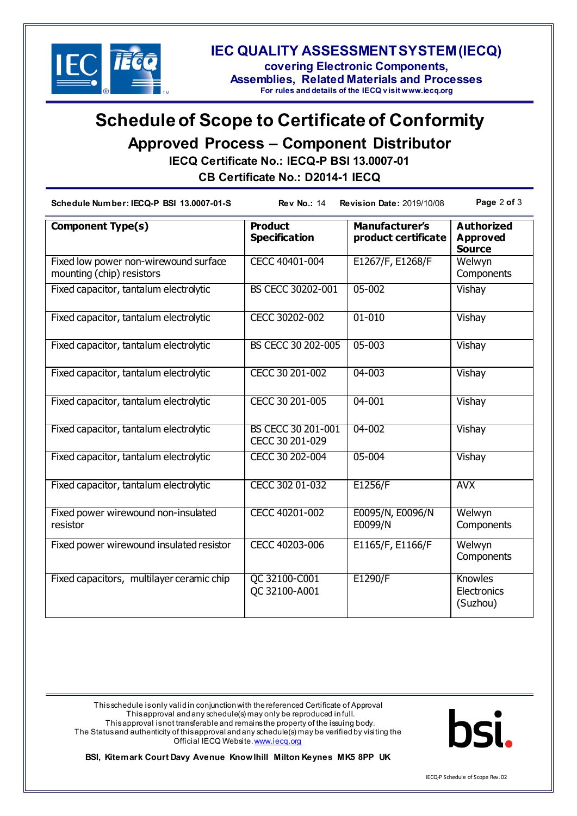

### **IEC QUALITY ASSESSMENT SYSTEM (IECQ)**

**covering Electronic Components, Assemblies, Related Materials and Processes**

**For rules and details of the IECQ v isit www.iecq.org**

# **Schedule of Scope to Certificate of Conformity**

**Approved Process – Component Distributor**

**IECQ Certificate No.: IECQ-P BSI 13.0007-01**

**CB Certificate No.: D2014-1 IECQ**

**Schedule Number: IECQ-P BSI 13.0007-01-S Rev No.:** 14 **Revision Date:** 2019/10/08 **Page** 2 **of** 3

| <b>Component Type(s)</b>                                           | <b>Product</b><br><b>Specification</b> | <b>Manufacturer's</b><br>product certificate | <b>Authorized</b><br><b>Approved</b><br><b>Source</b> |
|--------------------------------------------------------------------|----------------------------------------|----------------------------------------------|-------------------------------------------------------|
| Fixed low power non-wirewound surface<br>mounting (chip) resistors | CECC 40401-004                         | E1267/F, E1268/F                             | Welwyn<br>Components                                  |
| Fixed capacitor, tantalum electrolytic                             | BS CECC 30202-001                      | 05-002                                       | Vishay                                                |
| Fixed capacitor, tantalum electrolytic                             | CECC 30202-002                         | $01 - 010$                                   | Vishay                                                |
| Fixed capacitor, tantalum electrolytic                             | BS CECC 30 202-005                     | 05-003                                       | Vishay                                                |
| Fixed capacitor, tantalum electrolytic                             | CECC 30 201-002                        | 04-003                                       | Vishay                                                |
| Fixed capacitor, tantalum electrolytic                             | CECC 30 201-005                        | 04-001                                       | Vishay                                                |
| Fixed capacitor, tantalum electrolytic                             | BS CECC 30 201-001<br>CECC 30 201-029  | $04 - 002$                                   | Vishay                                                |
| Fixed capacitor, tantalum electrolytic                             | CECC 30 202-004                        | 05-004                                       | Vishay                                                |
| Fixed capacitor, tantalum electrolytic                             | CECC 302 01-032                        | E1256/F                                      | <b>AVX</b>                                            |
| Fixed power wirewound non-insulated<br>resistor                    | CECC 40201-002                         | E0095/N, E0096/N<br>E0099/N                  | Welwyn<br>Components                                  |
| Fixed power wirewound insulated resistor                           | CECC 40203-006                         | E1165/F, E1166/F                             | Welwyn<br>Components                                  |
| Fixed capacitors, multilayer ceramic chip                          | QC 32100-C001<br>QC 32100-A001         | E1290/F                                      | <b>Knowles</b><br>Electronics<br>(Suzhou)             |

This schedule is only valid in conjunction with the referenced Certificate of Approval This approval and any schedule(s) may only be reproduced in full. This approval is not transferable and remains the property of the issuing body. The Status and authenticity of this approval and any schedule(s) may be verified by visiting the Official IECQ Website[. www.iecq.org](http://www.iecq.org/)



**BSI, Kitemark Court Davy Avenue Knowlhill Milton Keynes MK5 8PP UK**

IECQ-P Schedule of Scope Rev. 02